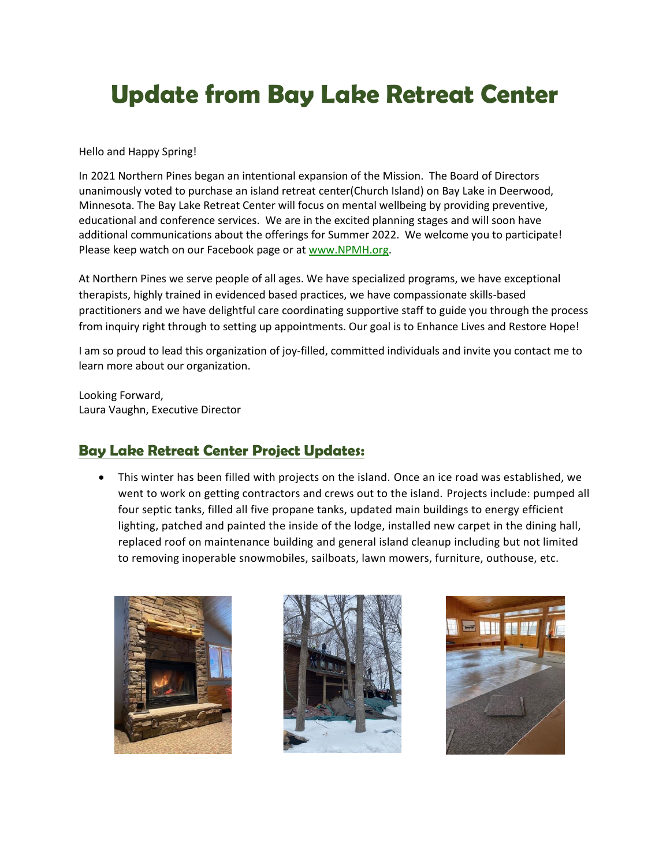# **Update from Bay Lake Retreat Center**

Hello and Happy Spring!

In 2021 Northern Pines began an intentional expansion of the Mission. The Board of Directors unanimously voted to purchase an island retreat center(Church Island) on Bay Lake in Deerwood, Minnesota. The Bay Lake Retreat Center will focus on mental wellbeing by providing preventive, educational and conference services. We are in the excited planning stages and will soon have additional communications about the offerings for Summer 2022. We welcome you to participate! Please keep watch on our Facebook page or at www.NPMH.org.

At Northern Pines we serve people of all ages. We have specialized programs, we have exceptional therapists, highly trained in evidenced based practices, we have compassionate skills-based practitioners and we have delightful care coordinating supportive staff to guide you through the process from inquiry right through to setting up appointments. Our goal is to Enhance Lives and Restore Hope!

I am so proud to lead this organization of joy-filled, committed individuals and invite you contact me to learn more about our organization.

Looking Forward, Laura Vaughn, Executive Director

## **Bay Lake Retreat Center Project Updates:**

• This winter has been filled with projects on the island. Once an ice road was established, we went to work on getting contractors and crews out to the island. Projects include: pumped all four septic tanks, filled all five propane tanks, updated main buildings to energy efficient lighting, patched and painted the inside of the lodge, installed new carpet in the dining hall, replaced roof on maintenance building and general island cleanup including but not limited to removing inoperable snowmobiles, sailboats, lawn mowers, furniture, outhouse, etc.